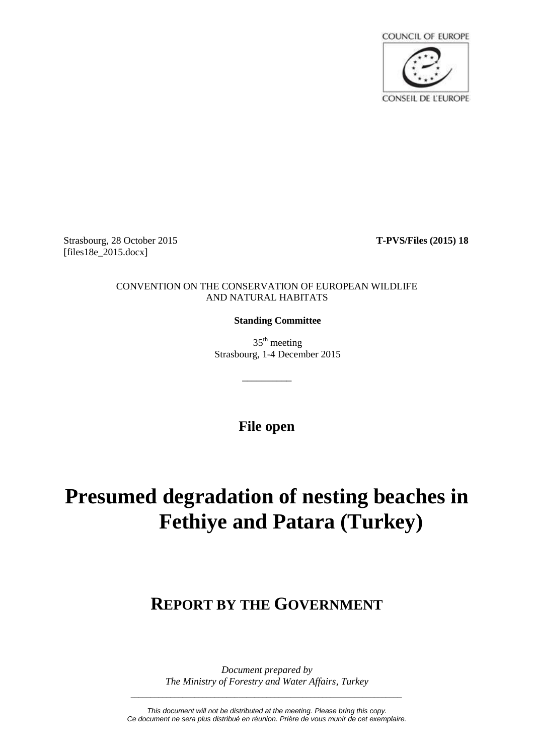

Strasbourg, 28 October 2015 **T-PVS/Files (2015) 18** [files18e\_2015.docx]

#### CONVENTION ON THE CONSERVATION OF EUROPEAN WILDLIFE AND NATURAL HABITATS

## **Standing Committee**

 $35<sup>th</sup>$  meeting Strasbourg, 1-4 December 2015

**File open**

\_\_\_\_\_\_\_\_\_\_

# **Presumed degradation of nesting beaches in Fethiye and Patara (Turkey)**

# **REPORT BY THE GOVERNMENT**

*Document prepared by The Ministry of Forestry and Water Affairs, Turkey*

*\_\_\_\_\_\_\_\_\_\_\_\_\_\_\_\_\_\_\_\_\_\_\_\_\_\_\_\_\_\_\_\_\_\_\_\_\_\_\_\_\_\_\_\_\_\_\_\_\_\_\_\_\_\_\_\_\_\_\_\_\_\_\_\_\_\_\_\_*

*This document will not be distributed at the meeting. Please bring this copy. Ce document ne sera plus distribué en réunion. Prière de vous munir de cet exemplaire.*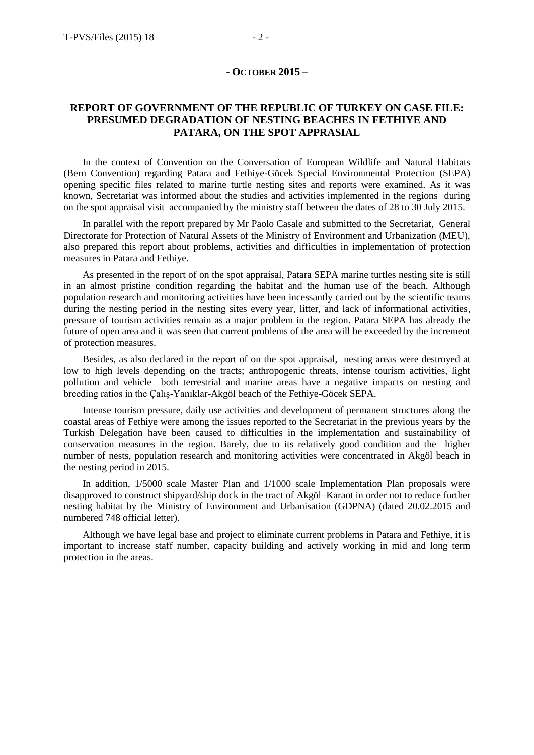### **REPORT OF GOVERNMENT OF THE REPUBLIC OF TURKEY ON CASE FILE: PRESUMED DEGRADATION OF NESTING BEACHES IN FETHIYE AND PATARA, ON THE SPOT APPRASIAL**

In the context of Convention on the Conversation of European Wildlife and Natural Habitats (Bern Convention) regarding Patara and Fethiye-Göcek Special Environmental Protection (SEPA) opening specific files related to marine turtle nesting sites and reports were examined. As it was known, Secretariat was informed about the studies and activities implemented in the regions during on the spot appraisal visit accompanied by the ministry staff between the dates of 28 to 30 July 2015.

In parallel with the report prepared by Mr Paolo Casale and submitted to the Secretariat, General Directorate for Protection of Natural Assets of the Ministry of Environment and Urbanization (MEU), also prepared this report about problems, activities and difficulties in implementation of protection measures in Patara and Fethiye.

As presented in the report of on the spot appraisal, Patara SEPA marine turtles nesting site is still in an almost pristine condition regarding the habitat and the human use of the beach. Although population research and monitoring activities have been incessantly carried out by the scientific teams during the nesting period in the nesting sites every year, litter, and lack of informational activities, pressure of tourism activities remain as a major problem in the region. Patara SEPA has already the future of open area and it was seen that current problems of the area will be exceeded by the increment of protection measures.

Besides, as also declared in the report of on the spot appraisal, nesting areas were destroyed at low to high levels depending on the tracts; anthropogenic threats, intense tourism activities, light pollution and vehicle both terrestrial and marine areas have a negative impacts on nesting and breeding ratios in the Çalış-Yanıklar-Akgöl beach of the Fethiye-Göcek SEPA.

Intense tourism pressure, daily use activities and development of permanent structures along the coastal areas of Fethiye were among the issues reported to the Secretariat in the previous years by the Turkish Delegation have been caused to difficulties in the implementation and sustainability of conservation measures in the region. Barely, due to its relatively good condition and the higher number of nests, population research and monitoring activities were concentrated in Akgöl beach in the nesting period in 2015.

In addition, 1/5000 scale Master Plan and 1/1000 scale Implementation Plan proposals were disapproved to construct shipyard/ship dock in the tract of Akgöl–Karaot in order not to reduce further nesting habitat by the Ministry of Environment and Urbanisation (GDPNA) (dated 20.02.2015 and numbered 748 official letter).

Although we have legal base and project to eliminate current problems in Patara and Fethiye, it is important to increase staff number, capacity building and actively working in mid and long term protection in the areas.